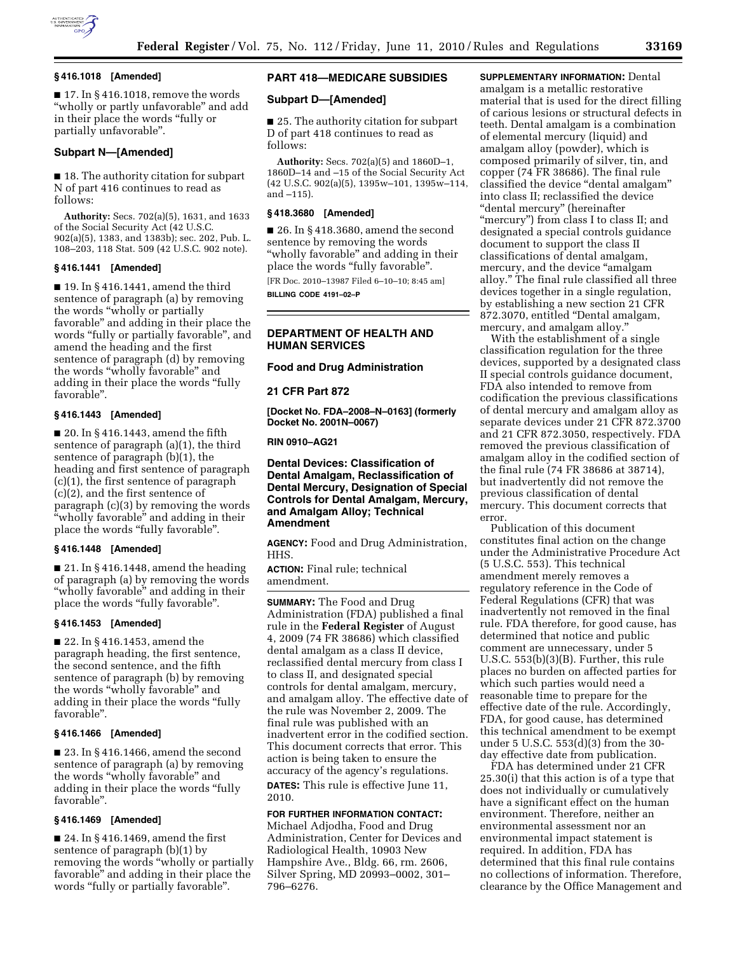

### **§ 416.1018 [Amended]**

 $\blacksquare$  17. In § 416.1018, remove the words "wholly or partly unfavorable" and add in their place the words ''fully or partially unfavorable''.

## **Subpart N—[Amended]**

■ 18. The authority citation for subpart N of part 416 continues to read as follows:

**Authority:** Secs. 702(a)(5), 1631, and 1633 of the Social Security Act (42 U.S.C. 902(a)(5), 1383, and 1383b); sec. 202, Pub. L. 108–203, 118 Stat. 509 (42 U.S.C. 902 note).

#### **§ 416.1441 [Amended]**

■ 19. In § 416.1441, amend the third sentence of paragraph (a) by removing the words ''wholly or partially favorable'' and adding in their place the words "fully or partially favorable", and amend the heading and the first sentence of paragraph (d) by removing the words ''wholly favorable'' and adding in their place the words ''fully favorable''.

# **§ 416.1443 [Amended]**

■ 20. In § 416.1443, amend the fifth sentence of paragraph (a)(1), the third sentence of paragraph (b)(1), the heading and first sentence of paragraph (c)(1), the first sentence of paragraph (c)(2), and the first sentence of paragraph (c)(3) by removing the words ''wholly favorable'' and adding in their place the words "fully favorable".

### **§ 416.1448 [Amended]**

 $\blacksquare$  21. In § 416.1448, amend the heading of paragraph (a) by removing the words ''wholly favorable'' and adding in their place the words "fully favorable".

### **§ 416.1453 [Amended]**

■ 22. In § 416.1453, amend the paragraph heading, the first sentence, the second sentence, and the fifth sentence of paragraph (b) by removing the words ''wholly favorable'' and adding in their place the words ''fully favorable''.

## **§ 416.1466 [Amended]**

■ 23. In § 416.1466, amend the second sentence of paragraph (a) by removing the words ''wholly favorable'' and adding in their place the words ''fully favorable''.

## **§ 416.1469 [Amended]**

■ 24. In § 416.1469, amend the first sentence of paragraph (b)(1) by removing the words "wholly or partially favorable'' and adding in their place the words "fully or partially favorable".

# **PART 418—MEDICARE SUBSIDIES**

## **Subpart D—[Amended]**

■ 25. The authority citation for subpart D of part 418 continues to read as follows:

**Authority:** Secs. 702(a)(5) and 1860D–1, 1860D–14 and –15 of the Social Security Act (42 U.S.C. 902(a)(5), 1395w–101, 1395w–114, and –115).

### **§ 418.3680 [Amended]**

■ 26. In § 418.3680, amend the second sentence by removing the words "wholly favorable" and adding in their place the words "fully favorable".

[FR Doc. 2010–13987 Filed 6–10–10; 8:45 am] **BILLING CODE 4191–02–P** 

### **DEPARTMENT OF HEALTH AND HUMAN SERVICES**

#### **Food and Drug Administration**

**21 CFR Part 872** 

**[Docket No. FDA–2008–N–0163] (formerly Docket No. 2001N–0067)** 

# **RIN 0910–AG21**

**Dental Devices: Classification of Dental Amalgam, Reclassification of Dental Mercury, Designation of Special Controls for Dental Amalgam, Mercury, and Amalgam Alloy; Technical Amendment** 

**AGENCY:** Food and Drug Administration, HHS.

**ACTION:** Final rule; technical amendment.

**SUMMARY:** The Food and Drug Administration (FDA) published a final rule in the **Federal Register** of August 4, 2009 (74 FR 38686) which classified dental amalgam as a class II device, reclassified dental mercury from class I to class II, and designated special controls for dental amalgam, mercury, and amalgam alloy. The effective date of the rule was November 2, 2009. The final rule was published with an inadvertent error in the codified section. This document corrects that error. This action is being taken to ensure the accuracy of the agency's regulations. **DATES:** This rule is effective June 11,

2010.

### **FOR FURTHER INFORMATION CONTACT:**

Michael Adjodha, Food and Drug Administration, Center for Devices and Radiological Health, 10903 New Hampshire Ave., Bldg. 66, rm. 2606, Silver Spring, MD 20993–0002, 301– 796–6276.

**SUPPLEMENTARY INFORMATION:** Dental amalgam is a metallic restorative material that is used for the direct filling of carious lesions or structural defects in teeth. Dental amalgam is a combination of elemental mercury (liquid) and amalgam alloy (powder), which is composed primarily of silver, tin, and copper (74 FR 38686). The final rule classified the device ''dental amalgam'' into class II; reclassified the device ''dental mercury'' (hereinafter "mercury") from class I to class II; and designated a special controls guidance document to support the class II classifications of dental amalgam, mercury, and the device "amalgam" alloy.'' The final rule classified all three devices together in a single regulation, by establishing a new section 21 CFR 872.3070, entitled ''Dental amalgam, mercury, and amalgam alloy.''

With the establishment of a single classification regulation for the three devices, supported by a designated class II special controls guidance document, FDA also intended to remove from codification the previous classifications of dental mercury and amalgam alloy as separate devices under 21 CFR 872.3700 and 21 CFR 872.3050, respectively. FDA removed the previous classification of amalgam alloy in the codified section of the final rule (74 FR 38686 at 38714), but inadvertently did not remove the previous classification of dental mercury. This document corrects that error.

Publication of this document constitutes final action on the change under the Administrative Procedure Act (5 U.S.C. 553). This technical amendment merely removes a regulatory reference in the Code of Federal Regulations (CFR) that was inadvertently not removed in the final rule. FDA therefore, for good cause, has determined that notice and public comment are unnecessary, under 5 U.S.C. 553(b)(3)(B). Further, this rule places no burden on affected parties for which such parties would need a reasonable time to prepare for the effective date of the rule. Accordingly, FDA, for good cause, has determined this technical amendment to be exempt under 5 U.S.C. 553(d)(3) from the 30 day effective date from publication.

FDA has determined under 21 CFR 25.30(i) that this action is of a type that does not individually or cumulatively have a significant effect on the human environment. Therefore, neither an environmental assessment nor an environmental impact statement is required. In addition, FDA has determined that this final rule contains no collections of information. Therefore, clearance by the Office Management and